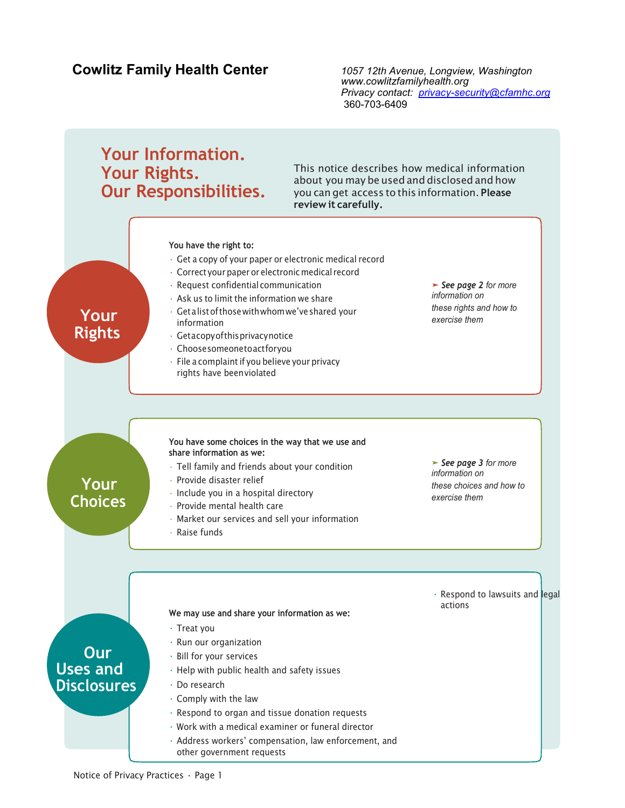# **Cowlitz Family Health Center** *1057 12th Avenue, Longview, Washington*

*[www.cowlitzfamilyhealth.org](http://www.cowlitzfamilyhealth.org/) Privacy contact: [privacy-security@cfamhc.org](mailto:privacy-security@cfamhc.org)* 360-703-6409

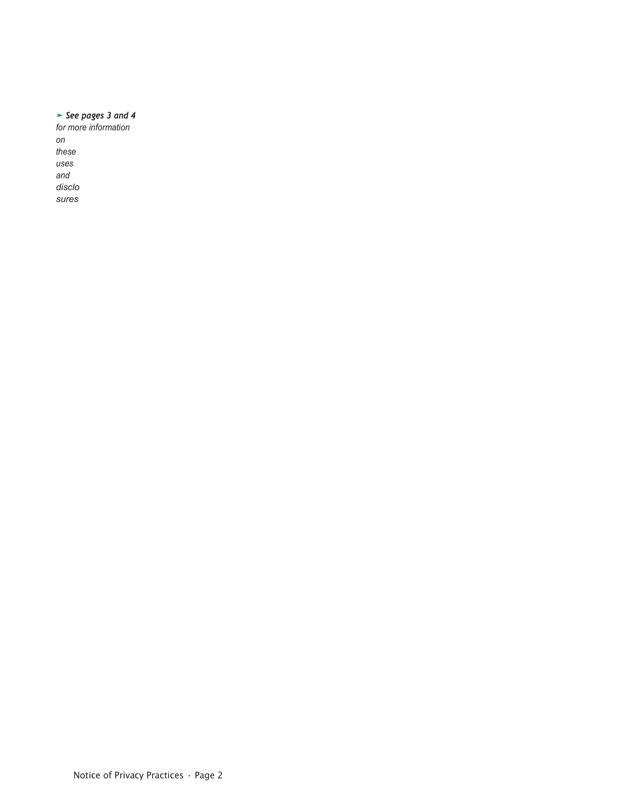➤ *See pages 3 and 4 for more information on these uses and disclo sures*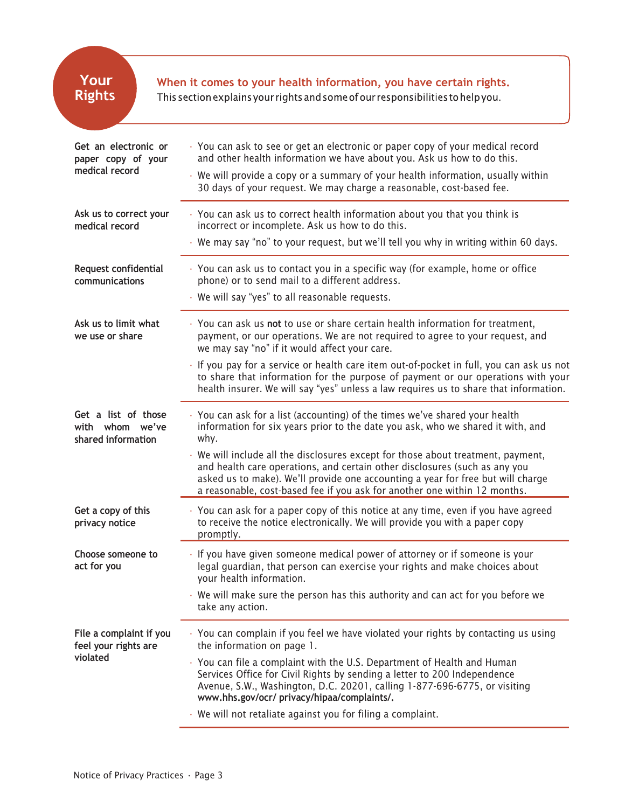**When it comes to your health information, you have certain rights.**This section explains your rights and some of our responsibilities to help you.

**Get an electronic or**  • You can ask to see or get an electronic or paper copy of your medical record **paper copy of your**  and other health information we have about you. Ask us how to do this. **medical record**  $\cdot$  We will provide a copy or a summary of your health information, usually within 30 days of your request. We may charge a reasonable, cost-based fee. • You can ask us to correct health information about you that you think is **Ask us to correct your medical record** incorrect or incomplete. Ask us how to do this. • We may say "no" to your request, but we'll tell you why in writing within 60 days. • You can ask us to contact you in a specific way (for example, home or office **Request confidential**  phone) or to send mail to a different address. **communications** • We will say "yes" to all reasonable requests. **Ask us to limit what**  • You can ask us **not** to use or share certain health information for treatment, payment, or our operations. We are not required to agree to your request, and **we use or share** we may say "no" if it would affect your care. • If you pay for a service or health care item out-of-pocket in full, you can ask us not to share that information for the purpose of payment or our operations with your health insurer. We will say "yes" unless a law requires us to share that information. **Get a list of those**  • You can ask for a list (accounting) of the times we've shared your health information for six years prior to the date you ask, who we shared it with, and **with whom we've shared information** why. • We will include all the disclosures except for those about treatment, payment, and health care operations, and certain other disclosures (such as any you asked us to make). We'll provide one accounting a year for free but will charge a reasonable, cost-based fee if you ask for another one within 12 months. • You can ask for a paper copy of this notice at any time, even if you have agreed **Get a copy of this**  to receive the notice electronically. We will provide you with a paper copy **privacy notice** promptly. • If you have given someone medical power of attorney or if someone is your **Choose someone to**  legal guardian, that person can exercise your rights and make choices about **act for you** your health information. • We will make sure the person has this authority and can act for you before we take any action. **File a complaint if you**  • You can complain if you feel we have violated your rights by contacting us using **feel your rights are**  the information on page 1. **violated** • You can file a complaint with the U.S. Department of Health and Human Services Office for Civil Rights by sending a letter to 200 Independence Avenue, S.W., Washington, D.C. 20201, calling 1-877-696-6775, or visiting **[www.hhs.gov/ocr/](http://www.hhs.gov/ocr/privacy/hipaa/complaints/) [privacy/hipaa/complaints/.](http://www.hhs.gov/ocr/privacy/hipaa/complaints/)** • We will not retaliate against you for filing a complaint.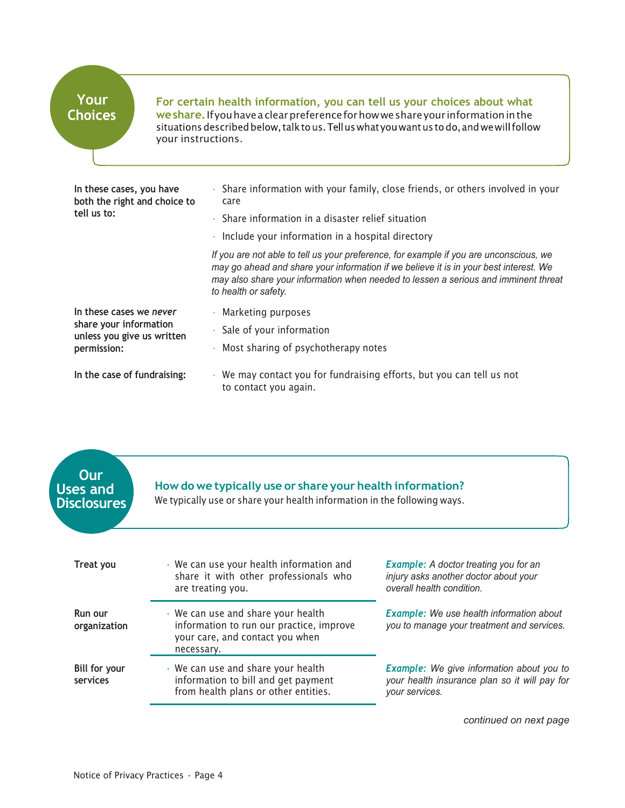**Your** For certain health information, you can tell us your choices about what Choices we share. If you have a clear preference for how we share your information in the

**weshare.**Ifyouhaveaclearpreferenceforhowweshareyour informationinthe your instructions.

| In these cases, you have<br>both the right and choice to<br>tell us to:                        | Share information with your family, close friends, or others involved in your<br>care<br>Share information in a disaster relief situation<br>Include your information in a hospital directory                                                                                                  |
|------------------------------------------------------------------------------------------------|------------------------------------------------------------------------------------------------------------------------------------------------------------------------------------------------------------------------------------------------------------------------------------------------|
|                                                                                                | If you are not able to tell us your preference, for example if you are unconscious, we<br>may go ahead and share your information if we believe it is in your best interest. We<br>may also share your information when needed to lessen a serious and imminent threat<br>to health or safety. |
| In these cases we never<br>share your information<br>unless you give us written<br>permission: | Marketing purposes<br>Sale of your information<br>Most sharing of psychotherapy notes                                                                                                                                                                                                          |
| In the case of fundraising:                                                                    | We may contact you for fundraising efforts, but you can tell us not<br>$\bullet$ .<br>to contact you again.                                                                                                                                                                                    |

## **Our Uses and Disclosures**

**How do we typically use or share your health information?**

We typically use or share your health information in the following ways.

| Treat you                        | · We can use your health information and<br>share it with other professionals who<br>are treating you.                        | <b>Example:</b> A doctor treating you for an<br>injury asks another doctor about your<br>overall health condition. |
|----------------------------------|-------------------------------------------------------------------------------------------------------------------------------|--------------------------------------------------------------------------------------------------------------------|
| Run our<br>organization          | We can use and share your health<br>information to run our practice, improve<br>your care, and contact you when<br>necessary. | <b>Example:</b> We use health information about<br>you to manage your treatment and services.                      |
| <b>Bill for your</b><br>services | · We can use and share your health<br>information to bill and get payment<br>from health plans or other entities.             | Example: We give information about you to<br>your health insurance plan so it will pay for<br>your services.       |

*continued on next page*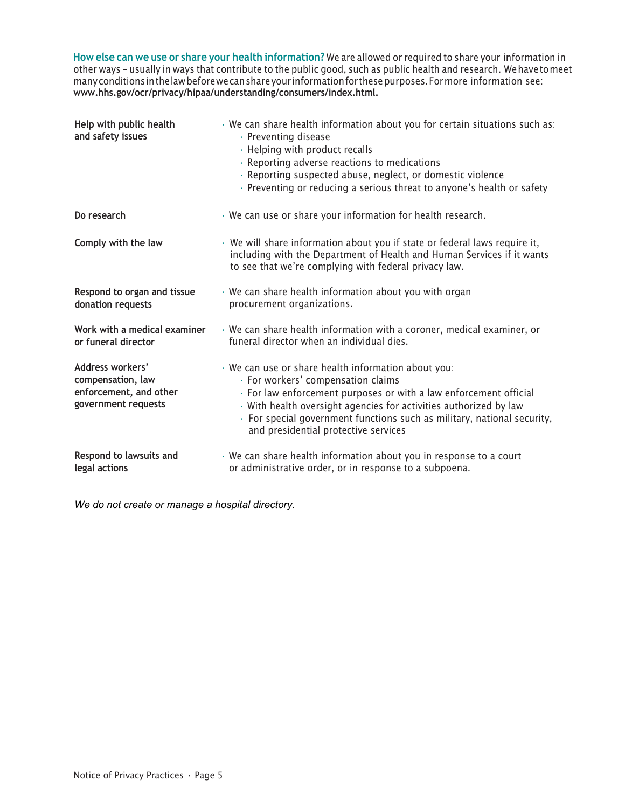**How else can we use or share your health information?** We are allowed or required to share your information in other ways – usually in ways that contribute to the public good, such as public health and research. Wehavetomeet manyconditionsinthelawbeforewecanshareyour informationfor thesepurposes.Formore information see: **[www.hhs.gov/ocr/privacy/hipaa/understanding/consumers/index.html](http://www.hhs.gov/ocr/privacy/hipaa/understanding/consumers/index.html).**

| Help with public health<br>and safety issues                                           | · We can share health information about you for certain situations such as:<br>· Preventing disease<br>· Helping with product recalls<br>· Reporting adverse reactions to medications<br>· Reporting suspected abuse, neglect, or domestic violence<br>· Preventing or reducing a serious threat to anyone's health or safety                          |
|----------------------------------------------------------------------------------------|--------------------------------------------------------------------------------------------------------------------------------------------------------------------------------------------------------------------------------------------------------------------------------------------------------------------------------------------------------|
| Do research                                                                            | · We can use or share your information for health research.                                                                                                                                                                                                                                                                                            |
| Comply with the law                                                                    | · We will share information about you if state or federal laws require it,<br>including with the Department of Health and Human Services if it wants<br>to see that we're complying with federal privacy law.                                                                                                                                          |
| Respond to organ and tissue<br>donation requests                                       | · We can share health information about you with organ<br>procurement organizations.                                                                                                                                                                                                                                                                   |
| Work with a medical examiner<br>or funeral director                                    | · We can share health information with a coroner, medical examiner, or<br>funeral director when an individual dies.                                                                                                                                                                                                                                    |
| Address workers'<br>compensation, law<br>enforcement, and other<br>government requests | · We can use or share health information about you:<br>· For workers' compensation claims<br>· For law enforcement purposes or with a law enforcement official<br>· With health oversight agencies for activities authorized by law<br>· For special government functions such as military, national security,<br>and presidential protective services |
| Respond to lawsuits and<br>legal actions                                               | · We can share health information about you in response to a court<br>or administrative order, or in response to a subpoena.                                                                                                                                                                                                                           |

*We do not create or manage a hospital directory.*